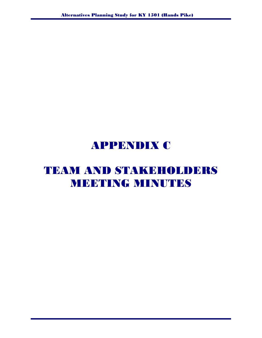# APPENDIX C

# TEAM AND STAKEHOLDERS MEETING MINUTES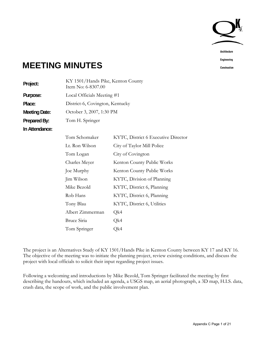

**Engineering** 

Construction

# **MEETING MINUTES**

| Project:             | KY 1501/Hands Pike, Kenton County<br>Item No: 6-8307.00 |
|----------------------|---------------------------------------------------------|
| Purpose:             | Local Officials Meeting #1                              |
| Place:               | District-6, Covington, Kentucky                         |
| <b>Meeting Date:</b> | October 3, 2007, 1:30 PM                                |
| <b>Prepared By:</b>  | Tom H. Springer                                         |
| In Attendance:       |                                                         |
|                      |                                                         |

| Tom Schomaker      | KYTC, District 6 Executive Director |
|--------------------|-------------------------------------|
| Lt. Ron Wilson     | City of Taylor Mill Police          |
| Tom Logan          | City of Covington                   |
| Charles Meyer      | Kenton County Public Works          |
| Joe Murphy         | Kenton County Public Works          |
| Jim Wilson         | KYTC, Division of Planning          |
| Mike Bezold        | KYTC, District 6, Planning          |
| Rob Hans           | KYTC, District 6, Planning          |
| Tony Blau          | KYTC, District 6, Utilities         |
| Albert Zimmerman   | Qk4                                 |
| <b>Bruce Siria</b> | Qk4                                 |
| Tom Springer       | Qk4                                 |

The project is an Alternatives Study of KY 1501/Hands Pike in Kenton County between KY 17 and KY 16. The objective of the meeting was to initiate the planning project, review existing conditions, and discuss the project with local officials to solicit their input regarding project issues.

Following a welcoming and introductions by Mike Bezold, Tom Springer facilitated the meeting by first describing the handouts, which included an agenda, a USGS map, an aerial photograph, a 3D map, H.I.S. data, crash data, the scope of work, and the public involvement plan.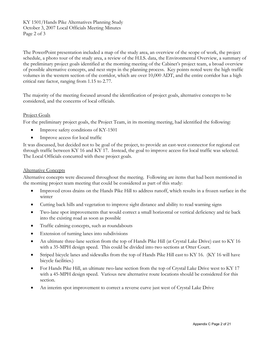KY 1501/Hands Pike Alternatives Planning Study October 3, 2007 Local Officials Meeting Minutes Page 2 of 3

The PowerPoint presentation included a map of the study area, an overview of the scope of work, the project schedule, a photo tour of the study area, a review of the H.I.S. data, the Environmental Overview, a summary of the preliminary project goals identified at the morning meeting of the Cabinet's project team, a broad overview of possible alternative concepts, and next steps in the planning process. Key points noted were the high traffic volumes in the western section of the corridor, which are over 10,000 ADT, and the entire corridor has a high critical rate factor, ranging from 1.15 to 2.77.

The majority of the meeting focused around the identification of project goals, alternative concepts to be considered, and the concerns of local officials.

### Project Goals

For the preliminary project goals, the Project Team, in its morning meeting, had identified the following:

- Improve safety conditions of KY-1501
- Improve access for local traffic

It was discussed, but decided not to be goal of the project, to provide an east-west connector for regional cut through traffic between KY 16 and KY 17. Instead, the goal to improve access for local traffic was selected. The Local Officials concurred with these project goals.

### Alternative Concepts

Alternative concepts were discussed throughout the meeting. Following are items that had been mentioned in the morning project team meeting that could be considered as part of this study:

- Improved cross drains on the Hands Pike Hill to address runoff, which results in a frozen surface in the winter
- Cutting back hills and vegetation to improve sight distance and ability to read warning signs
- Two-lane spot improvements that would correct a small horizontal or vertical deficiency and tie back into the existing road as soon as possible
- Traffic calming concepts, such as roundabouts
- Extension of turning lanes into subdivisions
- An ultimate three-lane section from the top of Hands Pike Hill (at Crystal Lake Drive) east to KY 16 with a 35-MPH design speed. This could be divided into two sections at Otter Court.
- Striped bicycle lanes and sidewalks from the top of Hands Pike Hill east to KY 16. (KY 16 will have bicycle facilities.)
- For Hands Pike Hill, an ultimate two-lane section from the top of Crystal Lake Drive west to KY 17 with a 45-MPH design speed. Various new alternative route locations should be considered for this section.
- An interim spot improvement to correct a reverse curve just west of Crystal Lake Drive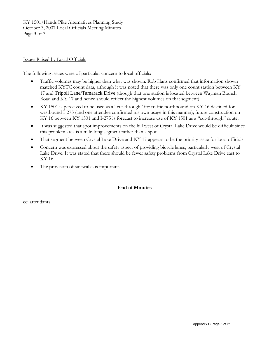KY 1501/Hands Pike Alternatives Planning Study October 3, 2007 Local Officials Meeting Minutes Page 3 of 3

#### Issues Raised by Local Officials

The following issues were of particular concern to local officials:

- Traffic volumes may be higher than what was shown. Rob Hans confirmed that information shown matched KYTC count data, although it was noted that there was only one count station between KY 17 and Tripoli Lane/Tamarack Drive (though that one station is located between Wayman Branch Road and KY 17 and hence should reflect the highest volumes on that segment).
- KY 1501 is perceived to be used as a "cut-through" for traffic northbound on KY 16 destined for westbound I-275 (and one attendee confirmed his own usage in this manner); future construction on KY 16 between KY 1501 and I-275 is forecast to increase use of KY 1501 as a "cut-through" route.
- It was suggested that spot improvements on the hill west of Crystal Lake Drive would be difficult since this problem area is a mile-long segment rather than a spot.
- That segment between Crystal Lake Drive and KY 17 appears to be the priority issue for local officials.
- Concern was expressed about the safety aspect of providing bicycle lanes, particularly west of Crystal Lake Drive. It was stated that there should be fewer safety problems from Crystal Lake Drive east to KY 16.
- The provision of sidewalks is important.

# **End of Minutes**

cc: attendants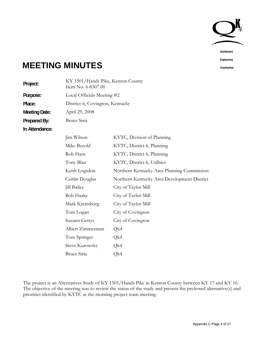

Engineering

Construction

# **MEETING MINUTES**

| Project:             | KY 1501/Hands Pike, Kenton County<br>Item No: 6-8307.00 |
|----------------------|---------------------------------------------------------|
| Purpose:             | Local Officials Meeting #2                              |
| Place:               | District-6, Covington, Kentucky                         |
| <b>Meeting Date:</b> | April 29, 2008                                          |
| <b>Prepared By:</b>  | <b>Bruce Siria</b>                                      |
| In Attendance:       |                                                         |

| Jim Wilson         | KYTC, Division of Planning                  |
|--------------------|---------------------------------------------|
| Mike Bezold        | KYTC, District 6, Planning                  |
| Rob Hans           | KYTC, District 6, Planning                  |
| Tony Blau          | KYTC, District 6, Utilities                 |
| Keith Logsdon      | Northern Kentucky Area Planning Commission  |
| Caitlin Douglas    | Northern Kentucky Area Development District |
| <b>Jill Bailey</b> | City of Taylor Mill                         |
| <b>Bob Haake</b>   | City of Taylor Mill                         |
| Mark Kreimborg     | City of Taylor Mill                         |
| Tom Logan          | City of Covington                           |
| Suzann Gettys      | City of Covington                           |
| Albert Zimmerman   | Qk4                                         |
| Tom Springer       | Qk4                                         |
| Steve Kurowsky     | Qk4                                         |
| Bruce Siria        | Qk4                                         |

The project is an Alternatives Study of KY 1501/Hands Pike in Kenton County between KY 17 and KY 16. The objective of the meeting was to review the status of the study and present the preferred alternative(s) and priorities identified by KYTC at the morning project team meeting.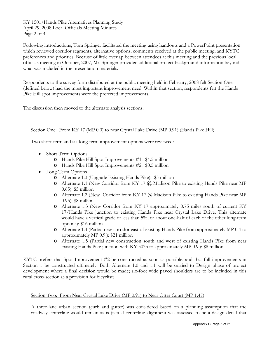KY 1501/Hands Pike Alternatives Planning Study April 29, 2008 Local Officials Meeting Minutes Page 2 of 4

Following introductions, Tom Springer facilitated the meeting using handouts and a PowerPoint presentation which reviewed corridor segments, alternative options, comments received at the public meeting, and KYTC preferences and priorities. Because of little overlap between attendees at this meeting and the previous local officials meeting in October, 2007, Mr. Springer provided additional project background information beyond what was included in the presentation materials.

Respondents to the survey form distributed at the public meeting held in February, 2008 felt Section One (defined below) had the most important improvement need. Within that section, respondents felt the Hands Pike Hill spot improvements were the preferred improvements.

The discussion then moved to the alternate analysis sections.

#### Section One: From KY 17 (MP 0.0) to near Crystal Lake Drive (MP 0.91) (Hands Pike Hill)

Two short-term and six long-term improvement options were reviewed:

- Short-Term Options:
	- o Hands Pike Hill Spot Improvements #1: \$4.5 million
	- o Hands Pike Hill Spot Improvements #2: \$0.5 million
- Long-Term Options
	- o Alternate 1.0 (Upgrade Existing Hands Pike): \$5 million
	- o Alternate 1.1 (New Corridor from KY 17 @ Madison Pike to existing Hands Pike near MP 0.65): \$5 million
	- o Alternate 1.2 (New Corridor from KY 17 @ Madison Pike to existing Hands Pike near MP 0.95): \$8 million
	- o Alternate 1.3 (New Corridor from KY 17 approximately 0.75 miles south of current KY 17/Hands Pike junction to existing Hands Pike near Crystal Lake Drive. This alternate would have a vertical grade of less than 5%, or about one-half of each of the other long-term options): \$16 million
	- o Alternate 1.4 (Partial new corridor east of existing Hands Pike from approximately MP 0.4 to approximately MP 0.9.): \$21 million
	- o Alternate 1.5 (Partial new construction south and west of existing Hands Pike from near existing Hands Pike junction with KY 3035 to approximately MP 0.9.): \$8 million

KYTC prefers that Spot Improvement #2 be constructed as soon as possible, and that full improvements in Section 1 be constructed ultimately. Both Alternate 1.0 and 1.1 will be carried to Design phase of project development where a final decision would be made; six-foot wide paved shoulders are to be included in this rural cross-section as a provision for bicyclists.

#### Section Two: From Near Crystal Lake Drive (MP 0.91) to Near Otter Court (MP 1.47)

A three-lane urban section (curb and gutter) was considered based on a planning assumption that the roadway centerline would remain as is (actual centerline alignment was assessed to be a design detail that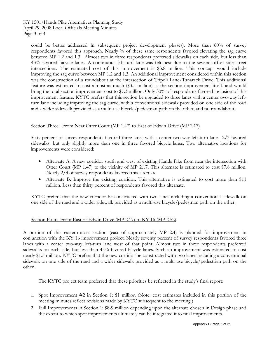KY 1501/Hands Pike Alternatives Planning Study April 29, 2008 Local Officials Meeting Minutes Page 3 of 4

could be better addressed in subsequent project development phases). More than 60% of survey respondents favored this approach. Nearly ¾ of these same respondents favored elevating the sag curve between MP 1.2 and 1.3. Almost two in three respondents preferred sidewalks on each side, but less than 43% favored bicycle lanes. A continuous left-turn lane was felt best due to the several offset side street intersections. The estimated cost of this improvement is \$3.8 million. This concept would include improving the sag curve between MP 1.2 and 1.3. An additional improvement considered within this section was the construction of a roundabout at the intersection of Tripoli Lane/Tanarack Drive. This additional feature was estimated to cost almost as much (\$3.5 million) as the section improvement itself, and would bring the total section improvement cost to \$7.3 million. Only 30% of respondents favored inclusion of this improvement feature. KYTC prefers that this section be upgraded to three lanes with a center two-way leftturn lane including improving the sag curve, with a conventional sidewalk provided on one side of the road and a wider sidewalk provided as a multi-use bicycle/pedestrian path on the other, and no roundabout.

#### Section Three: From Near Otter Court (MP 1.47) to East of Edwin Drive (MP 2.17)

Sixty percent of survey respondents favored three lanes with a center two-way left-turn lane. 2/3 favored sidewalks, but only slightly more than one in three favored bicycle lanes. Two alternative locations for improvements were considered:

- Alternate A: A new corridor south and west of existing Hands Pike from near the intersection with Otter Court (MP 1.47) to the vicinity of MP 2.17. This alternate is estimated to cost \$7.8 million. Nearly 2/3 of survey respondents favored this alternate.
- Alternate B: Improve the existing corridor. This alternative is estimated to cost more than \$11 million. Less than thirty percent of respondents favored this alternate.

KYTC prefers that the new corridor be constructed with two lanes including a conventional sidewalk on one side of the road and a wider sidewalk provided as a multi-use bicycle/pedestrian path on the other.

### Section Four: From East of Edwin Drive (MP 2.17) to KY 16 (MP 2.52)

A portion of this eastern-most section (east of approximately MP 2.4) is planned for improvement in conjunction with the KY 16 improvement project. Nearly seventy percent of survey respondents favored three lanes with a center two-way left-turn lane west of that point. Almost two in three respondents preferred sidewalks on each side, but less than 45% favored bicycle lanes. Such an improvement was estimated to cost nearly \$1.5 million. KYTC prefers that the new corridor be constructed with two lanes including a conventional sidewalk on one side of the road and a wider sidewalk provided as a multi-use bicycle/pedestrian path on the other.

The KYTC project team preferred that these priorities be reflected in the study's final report:

- 1. Spot Improvement #2 in Section 1: \$1 million (Note: cost estimates included in this portion of the meeting minutes reflect revisions made by KYTC subsequent to the meeting.)
- 2. Full Improvements in Section 1: \$8-9 million depending upon the alternate chosen in Design phase and the extent to which spot improvements ultimately can be integrated into final improvements.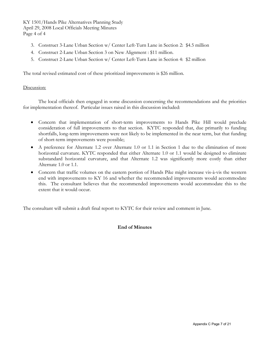KY 1501/Hands Pike Alternatives Planning Study April 29, 2008 Local Officials Meeting Minutes Page 4 of 4

- 3. Construct 3-Lane Urban Section w/ Center Left-Turn Lane in Section 2: \$4.5 million
- 4. Construct 2-Lane Urban Section 3 on New Alignment : \$11 million.
- 5. Construct 2-Lane Urban Section w/ Center Left-Turn Lane in Section 4: \$2 million

The total revised estimated cost of these prioritized improvements is \$26 million.

#### Discussion:

 The local officials then engaged in some discussion concerning the recommendations and the priorities for implementation thereof. Particular issues raised in this discussion included:

- Concern that implementation of short-term improvements to Hands Pike Hill would preclude consideration of full improvements to that section. KYTC responded that, due primarily to funding shortfalls, long-term improvements were not likely to be implemented in the near term, but that funding of short-term improvements were possible;
- A preference for Alternate 1.2 over Alternate 1.0 or 1.1 in Section 1 due to the elimination of more horizontal curvature. KYTC responded that either Alternate 1.0 or 1.1 would be designed to eliminate substandard horizontal curvature, and that Alternate 1.2 was significantly more costly than either Alternate 1.0 or 1.1.
- Concern that traffic volumes on the eastern portion of Hands Pike might increase vis-à-vis the western end with improvements to KY 16 and whether the recommended improvements would accommodate this. The consultant believes that the recommended improvements would accommodate this to the extent that it would occur.

The consultant will submit a draft final report to KYTC for their review and comment in June.

### **End of Minutes**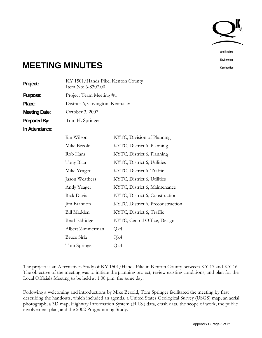

**Engineering** 

Construction

# **MEETING MINUTES**

| Project:             | KY 1501/Hands Pike, Kenton County<br>Item No: 6-8307.00 |
|----------------------|---------------------------------------------------------|
| Purpose:             | Project Team Meeting #1                                 |
| Place:               | District-6, Covington, Kentucky                         |
| <b>Meeting Date:</b> | October 3, 2007                                         |
| <b>Prepared By:</b>  | Tom H. Springer                                         |
| In Attendance:       |                                                         |

| Jim Wilson           | KYTC, Division of Planning        |
|----------------------|-----------------------------------|
| Mike Bezold          | KYTC, District 6, Planning        |
| Rob Hans             | KYTC, District 6, Planning        |
| Tony Blau            | KYTC, District 6, Utilities       |
| Mike Yeager          | KYTC, District 6, Traffic         |
| Jason Weathers       | KYTC, District 6, Utilities       |
| Andy Yeager          | KYTC, District 6, Maintenance     |
| Rick Davis           | KYTC, District 6, Construction    |
| Jim Brannon          | KYTC, District 6, Preconstruction |
| <b>Bill Madden</b>   | KYTC, District 6, Traffic         |
| <b>Brad Eldridge</b> | KYTC, Central Office, Design      |
| Albert Zimmerman     | Qk4                               |
| Bruce Siria          | Qk4                               |
| Tom Springer         | Qk4                               |

The project is an Alternatives Study of KY 1501/Hands Pike in Kenton County between KY 17 and KY 16. The objective of the meeting was to initiate the planning project, review existing conditions, and plan for the Local Officials Meeting to be held at 1:00 p.m. the same day.

Following a welcoming and introductions by Mike Bezold, Tom Springer facilitated the meeting by first describing the handouts, which included an agenda, a United States Geological Survey (USGS) map, an aerial photograph, a 3D map, Highway Information System (H.I.S.) data, crash data, the scope of work, the public involvement plan, and the 2002 Programming Study.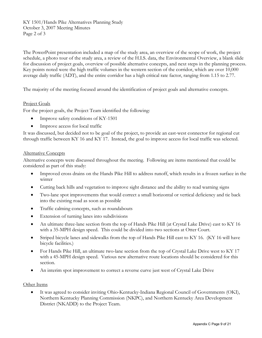KY 1501/Hands Pike Alternatives Planning Study October 3, 2007 Meeting Minutes Page 2 of 3

The PowerPoint presentation included a map of the study area, an overview of the scope of work, the project schedule, a photo tour of the study area, a review of the H.I.S. data, the Environmental Overview, a blank slide for discussion of project goals, overview of possible alternative concepts, and next steps in the planning process. Key points noted were the high traffic volumes in the western section of the corridor, which are over 10,000 average daily traffic (ADT), and the entire corridor has a high critical rate factor, ranging from 1.15 to 2.77.

The majority of the meeting focused around the identification of project goals and alternative concepts.

# Project Goals

For the project goals, the Project Team identified the following:

- Improve safety conditions of KY-1501
- Improve access for local traffic

It was discussed, but decided not to be goal of the project, to provide an east-west connector for regional cut through traffic between KY 16 and KY 17. Instead, the goal to improve access for local traffic was selected.

#### Alternative Concepts

Alternative concepts were discussed throughout the meeting. Following are items mentioned that could be considered as part of this study:

- Improved cross drains on the Hands Pike Hill to address runoff, which results in a frozen surface in the winter
- Cutting back hills and vegetation to improve sight distance and the ability to read warning signs
- Two-lane spot improvements that would correct a small horizontal or vertical deficiency and tie back into the existing road as soon as possible
- Traffic calming concepts, such as roundabouts
- Extension of turning lanes into subdivisions
- An ultimate three-lane section from the top of Hands Pike Hill (at Crystal Lake Drive) east to KY 16 with a 35-MPH design speed. This could be divided into two sections at Otter Court.
- Striped bicycle lanes and sidewalks from the top of Hands Pike Hill east to KY 16. (KY 16 will have bicycle facilities.)
- For Hands Pike Hill, an ultimate two-lane section from the top of Crystal Lake Drive west to KY 17 with a 45-MPH design speed. Various new alternative route locations should be considered for this section.
- An interim spot improvement to correct a reverse curve just west of Crystal Lake Drive

#### Other Items

• It was agreed to consider inviting Ohio-Kentucky-Indiana Regional Council of Governments (OKI), Northern Kentucky Planning Commission (NKPC), and Northern Kentucky Area Development District (NKADD) to the Project Team.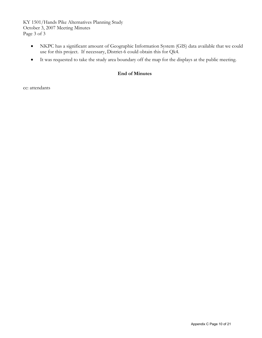KY 1501/Hands Pike Alternatives Planning Study October 3, 2007 Meeting Minutes Page 3 of 3

- NKPC has a significant amount of Geographic Information System (GIS) data available that we could use for this project. If necessary, District-6 could obtain this for Qk4.
- It was requested to take the study area boundary off the map for the displays at the public meeting.

## **End of Minutes**

cc: attendants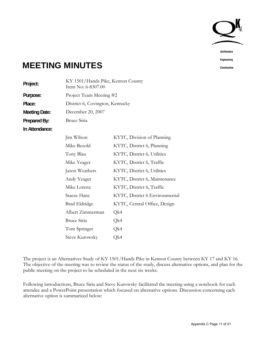

**Engineering** 

Construction

# **MEETING MINUTES**

| Project:             | KY 1501/Hands Pike, Kenton County<br>Item No: 6-8307.00 |
|----------------------|---------------------------------------------------------|
| Purpose:             | Project Team Meeting #2                                 |
| Place:               | District-6, Covington, Kentucky                         |
| <b>Meeting Date:</b> | December 20, 2007                                       |
| <b>Prepared By:</b>  | Bruce Siria                                             |
| In Attendance:       |                                                         |
|                      |                                                         |

| Jim Wilson            | KYTC, Division of Planning     |
|-----------------------|--------------------------------|
| Mike Bezold           | KYTC, District 6, Planning     |
| Tony Blau             | KYTC, District 6, Utilities    |
| Mike Yeager           | KYTC, District 6, Traffic      |
| Jason Weathers        | KYTC, District 6, Utilities    |
| Andy Yeager           | KYTC, District 6, Maintenance  |
| Mike Lorenz           | KYTC, District 6, Traffic      |
| Stacee Hans           | KYTC, District 6 Environmental |
| <b>Brad Eldridge</b>  | KYTC, Central Office, Design   |
| Albert Zimmerman      | Qk4                            |
| Bruce Siria           | Qk4                            |
| Tom Springer          | Qk4                            |
| <b>Steve Kurowsky</b> | Qk4                            |

The project is an Alternatives Study of KY 1501/Hands Pike in Kenton County between KY 17 and KY 16. The objective of the meeting was to review the status of the study, discuss alternative options, and plan for the public meeting on the project to be scheduled in the next six weeks.

Following introductions, Bruce Siria and Steve Kurowsky facilitated the meeting using a notebook for each attendee and a PowerPoint presentation which focused on alternative options. Discussion concerning each alternative option is summarized below: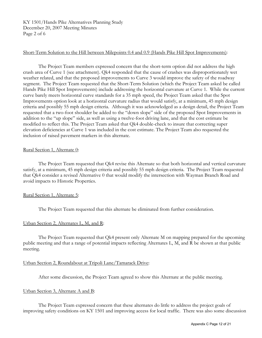KY 1501/Hands Pike Alternatives Planning Study December 20, 2007 Meeting Minutes Page 2 of 6

#### Short-Term Solution to the Hill between Milepoints 0.4 and 0.9 (Hands Pike Hill Spot Improvements):

 The Project Team members expressed concern that the short-term option did not address the high crash area of Curve 1 (see attachment). Qk4 responded that the cause of crashes was disproportionately wet weather related, and that the proposed improvements to Curve 3 would improve the safety of the roadway segment. The Project Team requested that the Short-Term Solution (which the Project Team asked be called Hands Pike Hill Spot Improvements) include addressing the horizontal curvature at Curve 1. While the current curve barely meets horizontal curve standards for a 35 mph speed, the Project Team asked that the Spot Improvements option look at a horizontal curvature radius that would satisfy, at a minimum, 45 mph design criteria and possibly 55 mph design criteria. Although it was acknowledged as a design detail, the Project Team requested that a two-foot shoulder be added to the "down slope" side of the proposed Spot Improvements in addition to the "up slope" side, as well as using a twelve-foot driving lane, and that the cost estimate be modified to reflect this. The Project Team asked that Qk4 double-check to insure that correcting super elevation deficiencies at Curve 1 was included in the cost estimate. The Project Team also requested the inclusion of raised pavement markers in this alternate.

#### Rural Section 1, Alternate 0:

 The Project Team requested that Qk4 revise this Alternate so that both horizontal and vertical curvature satisfy, at a minimum, 45 mph design criteria and possibly 55 mph design criteria. The Project Team requested that Qk4 consider a revised Alternative 0 that would modify the intersection with Wayman Branch Road and avoid impacts to Historic Properties.

### Rural Section 1, Alternate 5:

The Project Team requested that this alternate be eliminated from further consideration.

#### Urban Section 2, Alternates L, M, and R:

 The Project Team requested that Qk4 present only Alternate M on mapping prepared for the upcoming public meeting and that a range of potential impacts reflecting Alternates L, M, and R be shown at that public meeting.

### Urban Section 2, Roundabout at Tripoli Lane/Tamarack Drive:

After some discussion, the Project Team agreed to show this Alternate at the public meeting.

#### Urban Section 3, Alternate A and B:

 The Project Team expressed concern that these alternates do little to address the project goals of improving safety conditions on KY 1501 and improving access for local traffic. There was also some discussion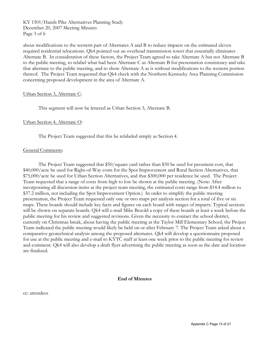KY 1501/Hands Pike Alternatives Planning Study December 20, 2007 Meeting Minutes Page 3 of 6

about modifications to the western part of Alternates A and B to reduce impacts on the estimated eleven required residential relocations. Qk4 pointed out an overhead transmission tower that essentially eliminates Alternate B. In consideration of these factors, the Project Team agreed to take Alternate A but not Alternate B to the public meeting, to relabel what had been Alternate C as Alternate B for presentation consistency and take that alternate to the public meeting, and to show Alternate A as is without modifications to the western portion thereof. The Project Team requested that Qk4 check with the Northern Kentucky Area Planning Commission concerning proposed development in the area of Alternate A.

#### Urban Section 3, Alternate C:

This segment will now be lettered as Urban Section 3, Alternate B.

#### Urban Section 4, Alternate O:

The Project Team suggested that this be relabeled simply as Section 4.

#### General Comments:

 The Project Team suggested that \$50/square yard rather than \$30 be used for pavement cost, that \$40,000/acre be used for Right-of-Way costs for the Spot Improvement and Rural Section Alternatives, that \$75,000/acre be used for Urban Section Alternatives, and that \$300,000 per residence be used. The Project Team requested that a range of costs from high to low be shown at the public meeting. (Note: After incorporating all discussion items at the project team meeting, the estimated costs range from \$14.4 million to \$37.2 million, not including the Spot Improvement Option.) In order to simplify the public meeting presentation, the Project Team requested only one or two maps per analysis section for a total of five or six maps. These boards should include key facts and figures on each board with ranges of impacts. Typical sections will be shown on separate boards. Qk4 will e-mail Mike Bezold a copy of these boards at least a week before the public meeting for his review and suggested revisions. Given the necessity to contact the school district, currently on Christmas break, about having the public meeting at the Taylor Mill Elementary School, the Project Team indicated the public meeting would likely be held on or after February 7. The Project Team asked about a comparative geotechnical analysis among the proposed alternates. Qk4 will develop a questionnaire proposed for use at the public meeting and e-mail to KYTC staff at least one week prior to the public meeting for review and comment. Qk4 will also develop a draft flyer advertising the public meeting as soon as the date and location are finalized.

#### **End of Minutes**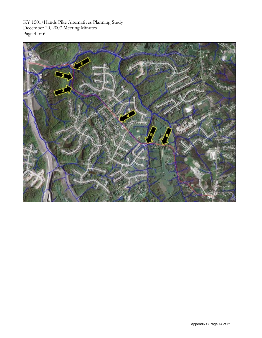KY 1501/Hands Pike Alternatives Planning Study December 20, 2007 Meeting Minutes Page 4 of 6

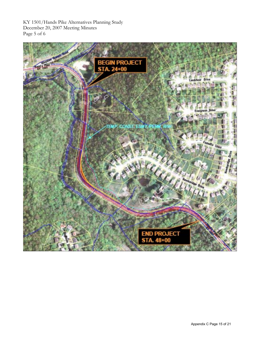KY 1501/Hands Pike Alternatives Planning Study December 20, 2007 Meeting Minutes Page 5 of 6

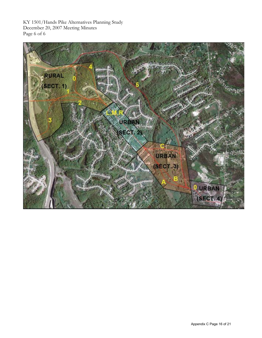KY 1501/Hands Pike Alternatives Planning Study December 20, 2007 Meeting Minutes Page 6 of 6

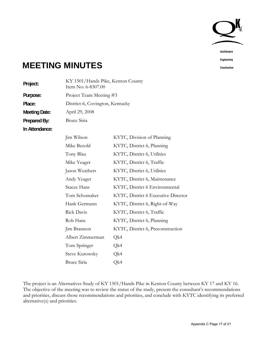

Engineering

Construction

# **MEETING MINUTES**

| Project:             | KY 1501/Hands Pike, Kenton County<br>Item No: 6-8307.00 |
|----------------------|---------------------------------------------------------|
| Purpose:             | Project Team Meeting #3                                 |
| Place:               | District-6, Covington, Kentucky                         |
| <b>Meeting Date:</b> | April 29, 2008                                          |
| <b>Prepared By:</b>  | Bruce Siria                                             |
| In Attendance:       |                                                         |

| Jim Wilson            | KYTC, Division of Planning          |
|-----------------------|-------------------------------------|
| Mike Bezold           | KYTC, District 6, Planning          |
| Tony Blau             | KYTC, District 6, Utilities         |
| Mike Yeager           | KYTC, District 6, Traffic           |
| Jason Weathers        | KYTC, District 6, Utilities         |
| Andy Yeager           | KYTC, District 6, Maintenance       |
| Stacee Hans           | KYTC, District 6 Environmental      |
| Tom Schomaker         | KYTC, District 6 Executive Director |
| Hank Germann          | KYTC, District 6, Right-of-Way      |
| Rick Davis            | KYTC, District 6, Traffic           |
| Rob Hans              | KYTC, District 6, Planning          |
| Jim Brannon           | KYTC, District 6, Preconstruction   |
| Albert Zimmerman      | Qk4                                 |
| Tom Springer          | Qk4                                 |
| <b>Steve Kurowsky</b> | Qk4                                 |
| Bruce Siria           | Qk4                                 |

The project is an Alternatives Study of KY 1501/Hands Pike in Kenton County between KY 17 and KY 16. The objective of the meeting was to review the status of the study, present the consultant's recommendations and priorities, discuss those recommendations and priorities, and conclude with KYTC identifying its preferred alternative(s) and priorities.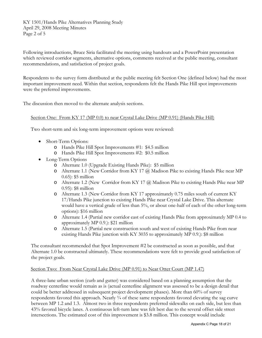KY 1501/Hands Pike Alternatives Planning Study April 29, 2008 Meeting Minutes Page 2 of 5

Following introductions, Bruce Siria facilitated the meeting using handouts and a PowerPoint presentation which reviewed corridor segments, alternative options, comments received at the public meeting, consultant recommendations, and satisfaction of project goals.

Respondents to the survey form distributed at the public meeting felt Section One (defined below) had the most important improvement need. Within that section, respondents felt the Hands Pike Hill spot improvements were the preferred improvements.

The discussion then moved to the alternate analysis sections.

#### Section One: From KY 17 (MP 0.0) to near Crystal Lake Drive (MP 0.91) (Hands Pike Hill)

Two short-term and six long-term improvement options were reviewed:

- Short-Term Options:
	- o Hands Pike Hill Spot Improvements #1: \$4.5 million
	- o Hands Pike Hill Spot Improvements #2: \$0.5 million
- Long-Term Options
	- o Alternate 1.0 (Upgrade Existing Hands Pike): \$5 million
	- $\circ$  Alternate 1.1 (New Corridor from KY 17  $\omega$ ) Madison Pike to existing Hands Pike near MP 0.65): \$5 million
	- o Alternate 1.2 (New Corridor from KY 17 @ Madison Pike to existing Hands Pike near MP 0.95): \$8 million
	- o Alternate 1.3 (New Corridor from KY 17 approximately 0.75 miles south of current KY 17/Hands Pike junction to existing Hands Pike near Crystal Lake Drive. This alternate would have a vertical grade of less than 5%, or about one-half of each of the other long-term options): \$16 million
	- o Alternate 1.4 (Partial new corridor east of existing Hands Pike from approximately MP 0.4 to approximately MP 0.9.): \$21 million
	- o Alternate 1.5 (Partial new construction south and west of existing Hands Pike from near existing Hands Pike junction with KY 3035 to approximately MP 0.9.): \$8 million

The consultant recommended that Spot Improvement #2 be constructed as soon as possible, and that Alternate 1.0 be constructed ultimately. These recommendations were felt to provide good satisfaction of the project goals.

#### Section Two: From Near Crystal Lake Drive (MP 0.91) to Near Otter Court (MP 1.47)

A three-lane urban section (curb and gutter) was considered based on a planning assumption that the roadway centerline would remain as is (actual centerline alignment was assessed to be a design detail that could be better addressed in subsequent project development phases). More than 60% of survey respondents favored this approach. Nearly  $\frac{3}{4}$  of these same respondents favored elevating the sag curve between MP 1.2 and 1.3. Almost two in three respondents preferred sidewalks on each side, but less than 43% favored bicycle lanes. A continuous left-turn lane was felt best due to the several offset side street intersections. The estimated cost of this improvement is \$3.8 million. This concept would include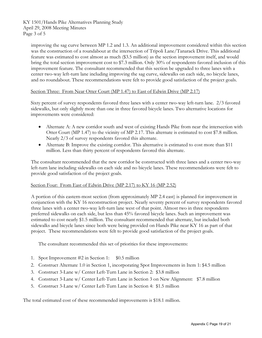KY 1501/Hands Pike Alternatives Planning Study April 29, 2008 Meeting Minutes Page 3 of 5

improving the sag curve between MP 1.2 and 1.3. An additional improvement considered within this section was the construction of a roundabout at the intersection of Tripoli Lane/Tanarack Drive. This additional feature was estimated to cost almost as much (\$3.5 million) as the section improvement itself, and would bring the total section improvement cost to \$7.3 million. Only 30% of respondents favored inclusion of this improvement feature. The consultant recommended that this section be upgraded to three lanes with a center two-way left-turn lane including improving the sag curve, sidewalks on each side, no bicycle lanes, and no roundabout. These recommendations were felt to provide good satisfaction of the project goals.

#### Section Three: From Near Otter Court (MP 1.47) to East of Edwin Drive (MP 2.17)

Sixty percent of survey respondents favored three lanes with a center two-way left-turn lane. 2/3 favored sidewalks, but only slightly more than one in three favored bicycle lanes. Two alternative locations for improvements were considered:

- Alternate A: A new corridor south and west of existing Hands Pike from near the intersection with Otter Court (MP 1.47) to the vicinity of MP 2.17. This alternate is estimated to cost \$7.8 million. Nearly 2/3 of survey respondents favored this alternate.
- Alternate B: Improve the existing corridor. This alternative is estimated to cost more than \$11 million. Less than thirty percent of respondents favored this alternate.

The consultant recommended that the new corridor be constructed with three lanes and a center two-way left-turn lane including sidewalks on each side and no bicycle lanes. These recommendations were felt to provide good satisfaction of the project goals.

#### Section Four: From East of Edwin Drive (MP 2.17) to KY 16 (MP 2.52)

A portion of this eastern-most section (from approximately MP 2.4 east) is planned for improvement in conjunction with the KY 16 reconstruction project. Nearly seventy percent of survey respondents favored three lanes with a center two-way left-turn lane west of that point. Almost two in three respondents preferred sidewalks on each side, but less than 45% favored bicycle lanes. Such an improvement was estimated to cost nearly \$1.5 million. The consultant recommended that alternate, but included both sidewalks and bicycle lanes since both were being provided on Hands Pike near KY 16 as part of that project. These recommendations were felt to provide good satisfaction of the project goals.

The consultant recommended this set of priorities for these improvements:

- 1. Spot Improvement #2 in Section 1: \$0.5 million
- 2. Construct Alternate 1.0 in Section 1, incorporating Spot Improvements in Item 1: \$4.5 million
- 3. Construct 3-Lane w/ Center Left-Turn Lane in Section 2: \$3.8 million
- 4. Construct 3-Lane w/ Center Left-Turn Lane in Section 3 on New Alignment: \$7.8 million
- 5. Construct 3-Lane w/ Center Left-Turn Lane in Section 4: \$1.5 million

The total estimated cost of these recommended improvements is \$18.1 million.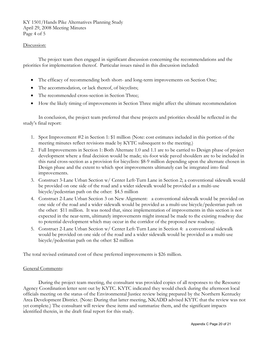KY 1501/Hands Pike Alternatives Planning Study April 29, 2008 Meeting Minutes Page 4 of 5

#### Discussion:

 The project team then engaged in significant discussion concerning the recommendations and the priorities for implementation thereof. Particular issues raised in this discussion included:

- The efficacy of recommending both short- and long-term improvements on Section One;
- The accommodation, or lack thereof, of bicyclists;
- The recommended cross-section in Section Three;
- How the likely timing of improvements in Section Three might affect the ultimate recommendation

 In conclusion, the project team preferred that these projects and priorities should be reflected in the study's final report:

- 1. Spot Improvement #2 in Section 1: \$1 million (Note: cost estimates included in this portion of the meeting minutes reflect revisions made by KYTC subsequent to the meeting.)
- 2. Full Improvements in Section 1: Both Alternate 1.0 and 1.1 are to be carried to Design phase of project development where a final decision would be made; six-foot wide paved shoulders are to be included in this rural cross-section as a provision for bicyclists: \$8-9 million depending upon the alternate chosen in Design phase and the extent to which spot improvements ultimately can be integrated into final improvements.
- 3. Construct 3-Lane Urban Section w/ Center Left-Turn Lane in Section 2; a conventional sidewalk would be provided on one side of the road and a wider sidewalk would be provided as a multi-use bicycle/pedestrian path on the other: \$4.5 million
- 4. Construct 2-Lane Urban Section 3 on New Alignment: a conventional sidewalk would be provided on one side of the road and a wider sidewalk would be provided as a multi-use bicycle/pedestrian path on the other: \$11 million. It was noted that, since implementation of improvements in this section is not expected in the near-term, ultimately improvements might instead be made to the existing roadway due to potential development which may occur in the corridor of the proposed new roadway.
- 5. Construct 2-Lane Urban Section w/ Center Left-Turn Lane in Section 4: a conventional sidewalk would be provided on one side of the road and a wider sidewalk would be provided as a multi-use bicycle/pedestrian path on the other: \$2 million

The total revised estimated cost of these preferred improvements is \$26 million.

#### General Comments:

 During the project team meeting, the consultant was provided copies of all responses to the Resource Agency Coordination letter sent out by KYTC. KYTC indicated they would check during the afternoon local officials meeting on the status of the Environmental Justice review being prepared by the Northern Kentucky Area Development District. (Note: During that latter meeting, NKADD advised KYTC that the review was not yet complete.) The consultant will review these items and summarize them, and the significant impacts identified therein, in the draft final report for this study.